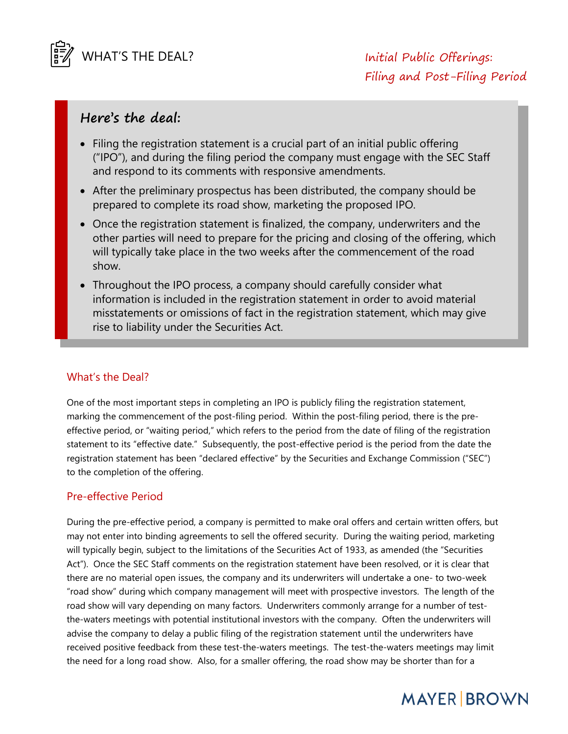

# **Here's the deal:**

- Filing the registration statement is a crucial part of an initial public offering ("IPO"), and during the filing period the company must engage with the SEC Staff and respond to its comments with responsive amendments.
- After the preliminary prospectus has been distributed, the company should be prepared to complete its road show, marketing the proposed IPO.
- Once the registration statement is finalized, the company, underwriters and the other parties will need to prepare for the pricing and closing of the offering, which will typically take place in the two weeks after the commencement of the road show.
- Throughout the IPO process, a company should carefully consider what information is included in the registration statement in order to avoid material misstatements or omissions of fact in the registration statement, which may give rise to liability under the Securities Act.

## What's the Deal?

One of the most important steps in completing an IPO is publicly filing the registration statement, marking the commencement of the post-filing period. Within the post-filing period, there is the preeffective period, or "waiting period," which refers to the period from the date of filing of the registration statement to its "effective date." Subsequently, the post-effective period is the period from the date the registration statement has been "declared effective" by the Securities and Exchange Commission ("SEC") to the completion of the offering.

## Pre-effective Period

During the pre-effective period, a company is permitted to make oral offers and certain written offers, but may not enter into binding agreements to sell the offered security. During the waiting period, marketing will typically begin, subject to the limitations of the Securities Act of 1933, as amended (the "Securities Act"). Once the SEC Staff comments on the registration statement have been resolved, or it is clear that there are no material open issues, the company and its underwriters will undertake a one- to two-week "road show" during which company management will meet with prospective investors. The length of the road show will vary depending on many factors. Underwriters commonly arrange for a number of testthe-waters meetings with potential institutional investors with the company. Often the underwriters will advise the company to delay a public filing of the registration statement until the underwriters have received positive feedback from these test-the-waters meetings. The test-the-waters meetings may limit the need for a long road show. Also, for a smaller offering, the road show may be shorter than for a

# **MAYER BROWN**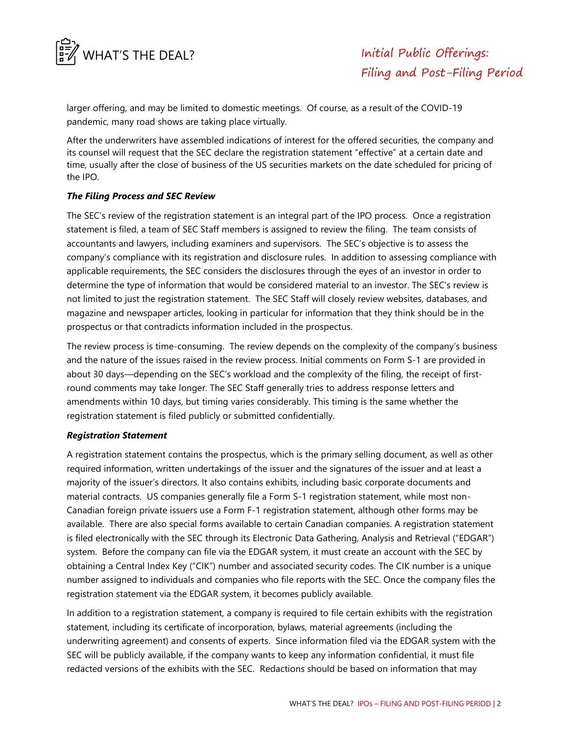

larger offering, and may be limited to domestic meetings. Of course, as a result of the COVID-19 pandemic, many road shows are taking place virtually.

After the underwriters have assembled indications of interest for the offered securities, the company and its counsel will request that the SEC declare the registration statement "effective" at a certain date and time, usually after the close of business of the US securities markets on the date scheduled for pricing of the IPO.

#### *The Filing Process and SEC Review*

The SEC's review of the registration statement is an integral part of the IPO process. Once a registration statement is filed, a team of SEC Staff members is assigned to review the filing. The team consists of accountants and lawyers, including examiners and supervisors. The SEC's objective is to assess the company's compliance with its registration and disclosure rules. In addition to assessing compliance with applicable requirements, the SEC considers the disclosures through the eyes of an investor in order to determine the type of information that would be considered material to an investor. The SEC's review is not limited to just the registration statement. The SEC Staff will closely review websites, databases, and magazine and newspaper articles, looking in particular for information that they think should be in the prospectus or that contradicts information included in the prospectus.

The review process is time-consuming. The review depends on the complexity of the company's business and the nature of the issues raised in the review process. Initial comments on Form S-1 are provided in about 30 days—depending on the SEC's workload and the complexity of the filing, the receipt of firstround comments may take longer. The SEC Staff generally tries to address response letters and amendments within 10 days, but timing varies considerably. This timing is the same whether the registration statement is filed publicly or submitted confidentially.

#### *Registration Statement*

A registration statement contains the prospectus, which is the primary selling document, as well as other required information, written undertakings of the issuer and the signatures of the issuer and at least a majority of the issuer's directors. It also contains exhibits, including basic corporate documents and material contracts. US companies generally file a Form S-1 registration statement, while most non-Canadian foreign private issuers use a Form F-1 registration statement, although other forms may be available. There are also special forms available to certain Canadian companies. A registration statement is filed electronically with the SEC through its Electronic Data Gathering, Analysis and Retrieval ("EDGAR") system. Before the company can file via the EDGAR system, it must create an account with the SEC by obtaining a Central Index Key ("CIK") number and associated security codes. The CIK number is a unique number assigned to individuals and companies who file reports with the SEC. Once the company files the registration statement via the EDGAR system, it becomes publicly available.

In addition to a registration statement, a company is required to file certain exhibits with the registration statement, including its certificate of incorporation, bylaws, material agreements (including the underwriting agreement) and consents of experts. Since information filed via the EDGAR system with the SEC will be publicly available, if the company wants to keep any information confidential, it must file redacted versions of the exhibits with the SEC. Redactions should be based on information that may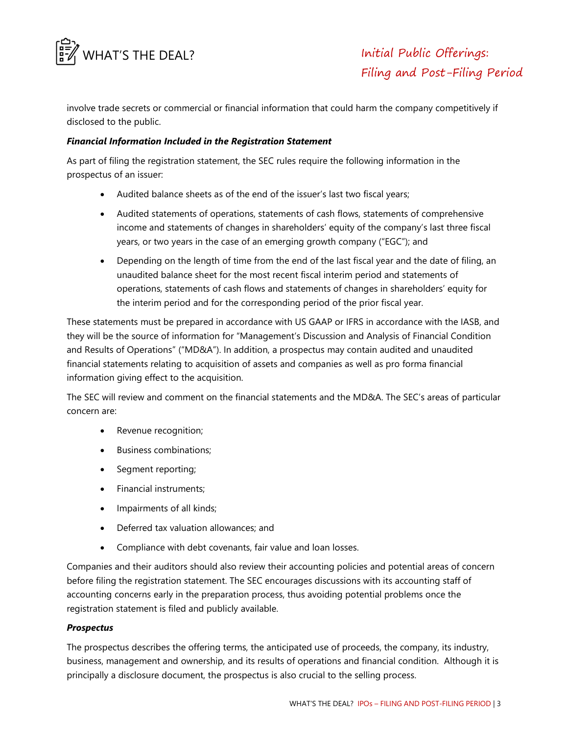

involve trade secrets or commercial or financial information that could harm the company competitively if disclosed to the public.

#### *Financial Information Included in the Registration Statement*

As part of filing the registration statement, the SEC rules require the following information in the prospectus of an issuer:

- Audited balance sheets as of the end of the issuer's last two fiscal years;
- Audited statements of operations, statements of cash flows, statements of comprehensive income and statements of changes in shareholders' equity of the company's last three fiscal years, or two years in the case of an emerging growth company ("EGC"); and
- Depending on the length of time from the end of the last fiscal year and the date of filing, an unaudited balance sheet for the most recent fiscal interim period and statements of operations, statements of cash flows and statements of changes in shareholders' equity for the interim period and for the corresponding period of the prior fiscal year.

These statements must be prepared in accordance with US GAAP or IFRS in accordance with the IASB, and they will be the source of information for "Management's Discussion and Analysis of Financial Condition and Results of Operations" ("MD&A"). In addition, a prospectus may contain audited and unaudited financial statements relating to acquisition of assets and companies as well as pro forma financial information giving effect to the acquisition.

The SEC will review and comment on the financial statements and the MD&A. The SEC's areas of particular concern are:

- Revenue recognition;
- Business combinations:
- Segment reporting;
- Financial instruments;
- Impairments of all kinds;
- Deferred tax valuation allowances; and
- Compliance with debt covenants, fair value and loan losses.

Companies and their auditors should also review their accounting policies and potential areas of concern before filing the registration statement. The SEC encourages discussions with its accounting staff of accounting concerns early in the preparation process, thus avoiding potential problems once the registration statement is filed and publicly available.

#### *Prospectus*

The prospectus describes the offering terms, the anticipated use of proceeds, the company, its industry, business, management and ownership, and its results of operations and financial condition. Although it is principally a disclosure document, the prospectus is also crucial to the selling process.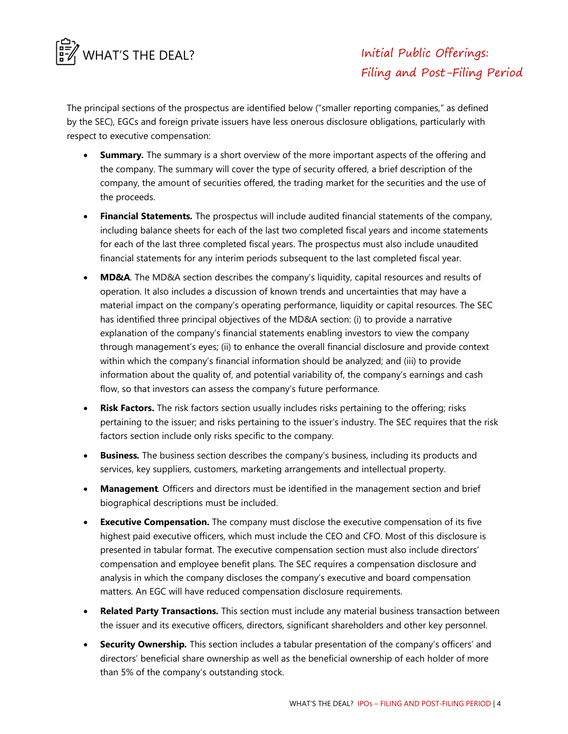

The principal sections of the prospectus are identified below ("smaller reporting companies," as defined by the SEC), EGCs and foreign private issuers have less onerous disclosure obligations, particularly with respect to executive compensation:

- **Summary***.* The summary is a short overview of the more important aspects of the offering and the company. The summary will cover the type of security offered, a brief description of the company, the amount of securities offered, the trading market for the securities and the use of the proceeds.
- **Financial Statements***.* The prospectus will include audited financial statements of the company, including balance sheets for each of the last two completed fiscal years and income statements for each of the last three completed fiscal years. The prospectus must also include unaudited financial statements for any interim periods subsequent to the last completed fiscal year.
- **MD&A***.* The MD&A section describes the company's liquidity, capital resources and results of operation. It also includes a discussion of known trends and uncertainties that may have a material impact on the company's operating performance, liquidity or capital resources. The SEC has identified three principal objectives of the MD&A section: (i) to provide a narrative explanation of the company's financial statements enabling investors to view the company through management's eyes; (ii) to enhance the overall financial disclosure and provide context within which the company's financial information should be analyzed; and (iii) to provide information about the quality of, and potential variability of, the company's earnings and cash flow, so that investors can assess the company's future performance.
- **Risk Factors.** The risk factors section usually includes risks pertaining to the offering; risks pertaining to the issuer; and risks pertaining to the issuer's industry. The SEC requires that the risk factors section include only risks specific to the company.
- **Business***.* The business section describes the company's business, including its products and services, key suppliers, customers, marketing arrangements and intellectual property.
- **Management***.* Officers and directors must be identified in the management section and brief biographical descriptions must be included.
- **Executive Compensation.** The company must disclose the executive compensation of its five highest paid executive officers, which must include the CEO and CFO. Most of this disclosure is presented in tabular format. The executive compensation section must also include directors' compensation and employee benefit plans. The SEC requires a compensation disclosure and analysis in which the company discloses the company's executive and board compensation matters. An EGC will have reduced compensation disclosure requirements.
- **Related Party Transactions***.* This section must include any material business transaction between the issuer and its executive officers, directors, significant shareholders and other key personnel.
- **Security Ownership***.* This section includes a tabular presentation of the company's officers' and directors' beneficial share ownership as well as the beneficial ownership of each holder of more than 5% of the company's outstanding stock.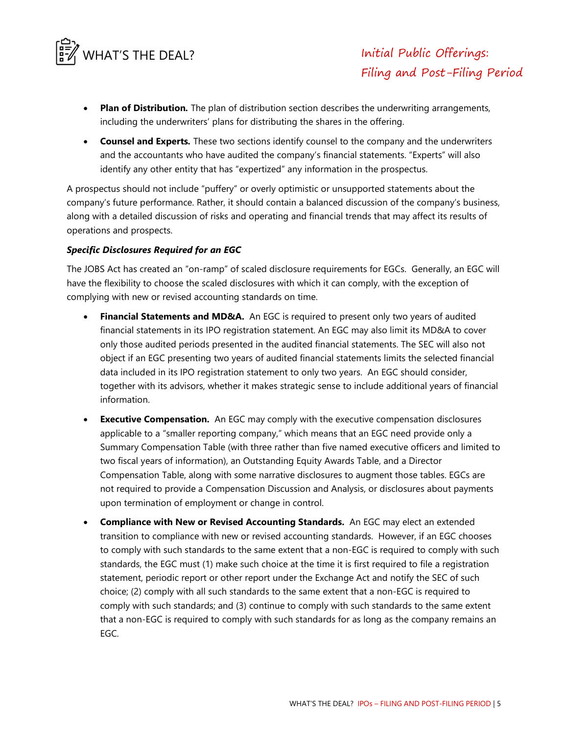

- **Plan of Distribution***.* The plan of distribution section describes the underwriting arrangements, including the underwriters' plans for distributing the shares in the offering.
- **Counsel and Experts***.* These two sections identify counsel to the company and the underwriters and the accountants who have audited the company's financial statements. "Experts" will also identify any other entity that has "expertized" any information in the prospectus.

A prospectus should not include "puffery" or overly optimistic or unsupported statements about the company's future performance. Rather, it should contain a balanced discussion of the company's business, along with a detailed discussion of risks and operating and financial trends that may affect its results of operations and prospects.

#### *Specific Disclosures Required for an EGC*

The JOBS Act has created an "on-ramp" of scaled disclosure requirements for EGCs. Generally, an EGC will have the flexibility to choose the scaled disclosures with which it can comply, with the exception of complying with new or revised accounting standards on time.

- **Financial Statements and MD&A.** An EGC is required to present only two years of audited financial statements in its IPO registration statement. An EGC may also limit its MD&A to cover only those audited periods presented in the audited financial statements. The SEC will also not object if an EGC presenting two years of audited financial statements limits the selected financial data included in its IPO registration statement to only two years. An EGC should consider, together with its advisors, whether it makes strategic sense to include additional years of financial information.
- **Executive Compensation.** An EGC may comply with the executive compensation disclosures applicable to a "smaller reporting company," which means that an EGC need provide only a Summary Compensation Table (with three rather than five named executive officers and limited to two fiscal years of information), an Outstanding Equity Awards Table, and a Director Compensation Table, along with some narrative disclosures to augment those tables. EGCs are not required to provide a Compensation Discussion and Analysis, or disclosures about payments upon termination of employment or change in control.
- **Compliance with New or Revised Accounting Standards.** An EGC may elect an extended transition to compliance with new or revised accounting standards. However, if an EGC chooses to comply with such standards to the same extent that a non-EGC is required to comply with such standards, the EGC must (1) make such choice at the time it is first required to file a registration statement, periodic report or other report under the Exchange Act and notify the SEC of such choice; (2) comply with all such standards to the same extent that a non-EGC is required to comply with such standards; and (3) continue to comply with such standards to the same extent that a non-EGC is required to comply with such standards for as long as the company remains an EGC.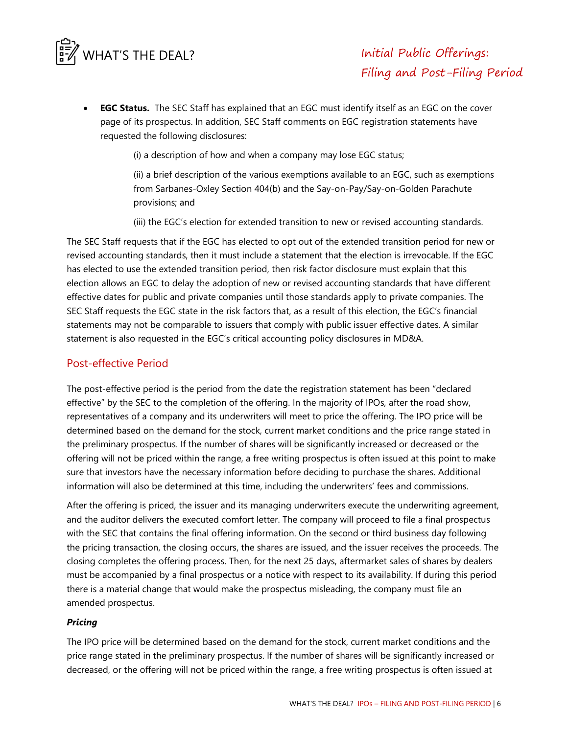

 **EGC Status.** The SEC Staff has explained that an EGC must identify itself as an EGC on the cover page of its prospectus. In addition, SEC Staff comments on EGC registration statements have requested the following disclosures:

(i) a description of how and when a company may lose EGC status;

(ii) a brief description of the various exemptions available to an EGC, such as exemptions from Sarbanes-Oxley Section 404(b) and the Say-on-Pay/Say-on-Golden Parachute provisions; and

(iii) the EGC's election for extended transition to new or revised accounting standards.

The SEC Staff requests that if the EGC has elected to opt out of the extended transition period for new or revised accounting standards, then it must include a statement that the election is irrevocable. If the EGC has elected to use the extended transition period, then risk factor disclosure must explain that this election allows an EGC to delay the adoption of new or revised accounting standards that have different effective dates for public and private companies until those standards apply to private companies. The SEC Staff requests the EGC state in the risk factors that, as a result of this election, the EGC's financial statements may not be comparable to issuers that comply with public issuer effective dates. A similar statement is also requested in the EGC's critical accounting policy disclosures in MD&A.

## Post-effective Period

The post-effective period is the period from the date the registration statement has been "declared effective" by the SEC to the completion of the offering. In the majority of IPOs, after the road show, representatives of a company and its underwriters will meet to price the offering. The IPO price will be determined based on the demand for the stock, current market conditions and the price range stated in the preliminary prospectus. If the number of shares will be significantly increased or decreased or the offering will not be priced within the range, a free writing prospectus is often issued at this point to make sure that investors have the necessary information before deciding to purchase the shares. Additional information will also be determined at this time, including the underwriters' fees and commissions.

After the offering is priced, the issuer and its managing underwriters execute the underwriting agreement, and the auditor delivers the executed comfort letter. The company will proceed to file a final prospectus with the SEC that contains the final offering information. On the second or third business day following the pricing transaction, the closing occurs, the shares are issued, and the issuer receives the proceeds. The closing completes the offering process. Then, for the next 25 days, aftermarket sales of shares by dealers must be accompanied by a final prospectus or a notice with respect to its availability. If during this period there is a material change that would make the prospectus misleading, the company must file an amended prospectus.

## *Pricing*

The IPO price will be determined based on the demand for the stock, current market conditions and the price range stated in the preliminary prospectus. If the number of shares will be significantly increased or decreased, or the offering will not be priced within the range, a free writing prospectus is often issued at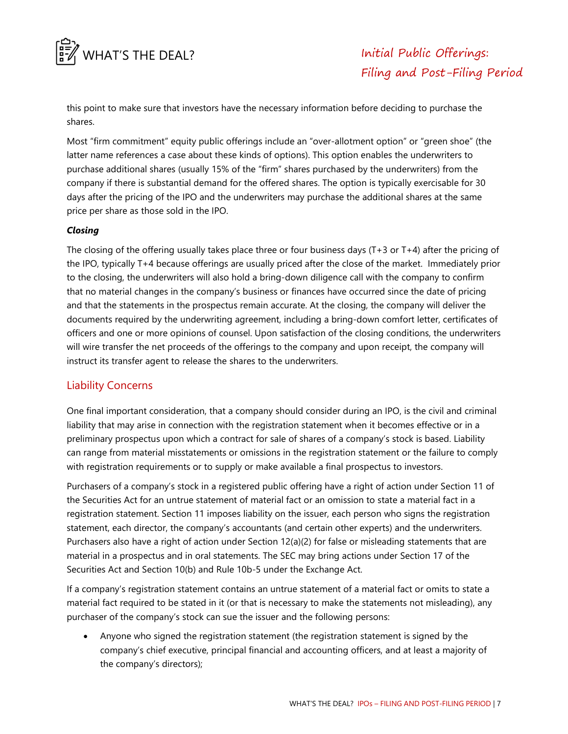

this point to make sure that investors have the necessary information before deciding to purchase the shares.

Most "firm commitment" equity public offerings include an "over-allotment option" or "green shoe" (the latter name references a case about these kinds of options). This option enables the underwriters to purchase additional shares (usually 15% of the "firm" shares purchased by the underwriters) from the company if there is substantial demand for the offered shares. The option is typically exercisable for 30 days after the pricing of the IPO and the underwriters may purchase the additional shares at the same price per share as those sold in the IPO.

#### *Closing*

The closing of the offering usually takes place three or four business days (T+3 or T+4) after the pricing of the IPO, typically T+4 because offerings are usually priced after the close of the market. Immediately prior to the closing, the underwriters will also hold a bring-down diligence call with the company to confirm that no material changes in the company's business or finances have occurred since the date of pricing and that the statements in the prospectus remain accurate. At the closing, the company will deliver the documents required by the underwriting agreement, including a bring-down comfort letter, certificates of officers and one or more opinions of counsel. Upon satisfaction of the closing conditions, the underwriters will wire transfer the net proceeds of the offerings to the company and upon receipt, the company will instruct its transfer agent to release the shares to the underwriters.

## Liability Concerns

One final important consideration, that a company should consider during an IPO, is the civil and criminal liability that may arise in connection with the registration statement when it becomes effective or in a preliminary prospectus upon which a contract for sale of shares of a company's stock is based. Liability can range from material misstatements or omissions in the registration statement or the failure to comply with registration requirements or to supply or make available a final prospectus to investors.

Purchasers of a company's stock in a registered public offering have a right of action under Section 11 of the Securities Act for an untrue statement of material fact or an omission to state a material fact in a registration statement. Section 11 imposes liability on the issuer, each person who signs the registration statement, each director, the company's accountants (and certain other experts) and the underwriters. Purchasers also have a right of action under Section 12(a)(2) for false or misleading statements that are material in a prospectus and in oral statements. The SEC may bring actions under Section 17 of the Securities Act and Section 10(b) and Rule 10b-5 under the Exchange Act.

If a company's registration statement contains an untrue statement of a material fact or omits to state a material fact required to be stated in it (or that is necessary to make the statements not misleading), any purchaser of the company's stock can sue the issuer and the following persons:

 Anyone who signed the registration statement (the registration statement is signed by the company's chief executive, principal financial and accounting officers, and at least a majority of the company's directors);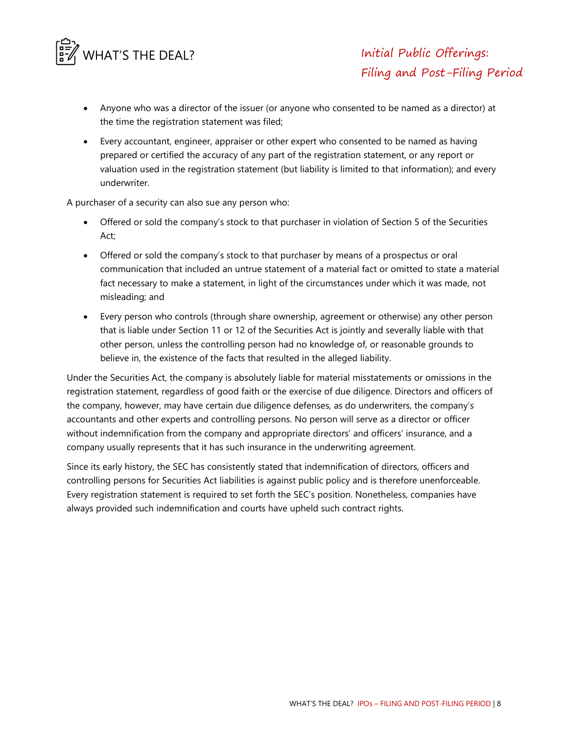

- Anyone who was a director of the issuer (or anyone who consented to be named as a director) at the time the registration statement was filed;
- Every accountant, engineer, appraiser or other expert who consented to be named as having prepared or certified the accuracy of any part of the registration statement, or any report or valuation used in the registration statement (but liability is limited to that information); and every underwriter.

A purchaser of a security can also sue any person who:

- Offered or sold the company's stock to that purchaser in violation of Section 5 of the Securities Act;
- Offered or sold the company's stock to that purchaser by means of a prospectus or oral communication that included an untrue statement of a material fact or omitted to state a material fact necessary to make a statement, in light of the circumstances under which it was made, not misleading; and
- Every person who controls (through share ownership, agreement or otherwise) any other person that is liable under Section 11 or 12 of the Securities Act is jointly and severally liable with that other person, unless the controlling person had no knowledge of, or reasonable grounds to believe in, the existence of the facts that resulted in the alleged liability.

Under the Securities Act, the company is absolutely liable for material misstatements or omissions in the registration statement, regardless of good faith or the exercise of due diligence. Directors and officers of the company, however, may have certain due diligence defenses, as do underwriters, the company's accountants and other experts and controlling persons. No person will serve as a director or officer without indemnification from the company and appropriate directors' and officers' insurance, and a company usually represents that it has such insurance in the underwriting agreement.

Since its early history, the SEC has consistently stated that indemnification of directors, officers and controlling persons for Securities Act liabilities is against public policy and is therefore unenforceable. Every registration statement is required to set forth the SEC's position. Nonetheless, companies have always provided such indemnification and courts have upheld such contract rights.